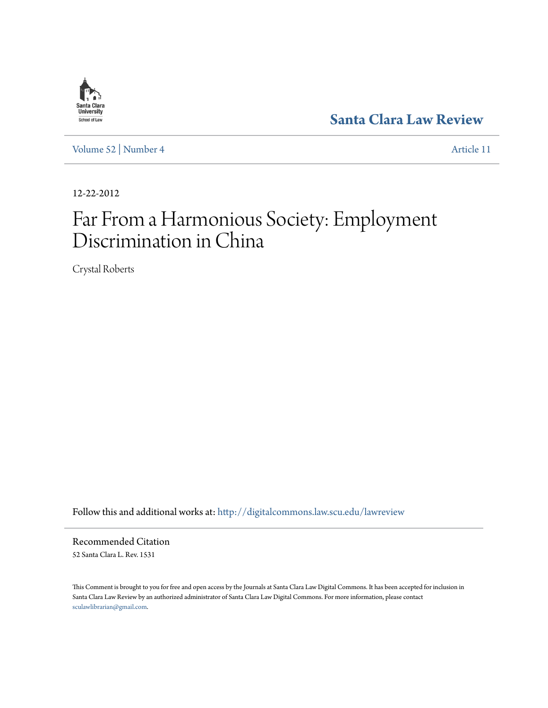

**[Santa Clara Law Review](http://digitalcommons.law.scu.edu/lawreview?utm_source=digitalcommons.law.scu.edu%2Flawreview%2Fvol52%2Fiss4%2F11&utm_medium=PDF&utm_campaign=PDFCoverPages)**

[Volume 52](http://digitalcommons.law.scu.edu/lawreview/vol52?utm_source=digitalcommons.law.scu.edu%2Flawreview%2Fvol52%2Fiss4%2F11&utm_medium=PDF&utm_campaign=PDFCoverPages) | [Number 4](http://digitalcommons.law.scu.edu/lawreview/vol52/iss4?utm_source=digitalcommons.law.scu.edu%2Flawreview%2Fvol52%2Fiss4%2F11&utm_medium=PDF&utm_campaign=PDFCoverPages) [Article 11](http://digitalcommons.law.scu.edu/lawreview/vol52/iss4/11?utm_source=digitalcommons.law.scu.edu%2Flawreview%2Fvol52%2Fiss4%2F11&utm_medium=PDF&utm_campaign=PDFCoverPages)

12-22-2012

# Far From a Harmonious Society: Employment Discrimination in China

Crystal Roberts

Follow this and additional works at: [http://digitalcommons.law.scu.edu/lawreview](http://digitalcommons.law.scu.edu/lawreview?utm_source=digitalcommons.law.scu.edu%2Flawreview%2Fvol52%2Fiss4%2F11&utm_medium=PDF&utm_campaign=PDFCoverPages)

Recommended Citation 52 Santa Clara L. Rev. 1531

This Comment is brought to you for free and open access by the Journals at Santa Clara Law Digital Commons. It has been accepted for inclusion in Santa Clara Law Review by an authorized administrator of Santa Clara Law Digital Commons. For more information, please contact [sculawlibrarian@gmail.com](mailto:sculawlibrarian@gmail.com).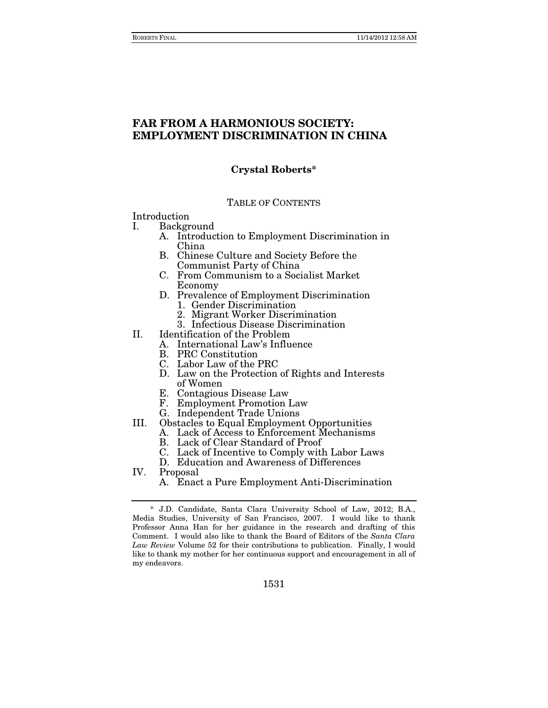# **FAR FROM A HARMONIOUS SOCIETY: EMPLOYMENT DISCRIMINATION IN CHINA**

# **Crystal Roberts\***

#### TABLE OF CONTENTS

Introduction

I. Background

- A. Introduction to Employment Discrimination in China
- B. Chinese Culture and Society Before the Communist Party of China
- C. From Communism to a Socialist Market Economy
- D. Prevalence of Employment Discrimination 1. Gender Discrimination
	- 2. Migrant Worker Discrimination
	- 3. Infectious Disease Discrimination
- II. Identification of the Problem
	- A. International Law's Influence
	- B. PRC Constitution
	- C. Labor Law of the PRC
	- D. Law on the Protection of Rights and Interests of Women
	- E. Contagious Disease Law
	- F. Employment Promotion Law
	- G. Independent Trade Unions
- III. Obstacles to Equal Employment Opportunities
	- A. Lack of Access to Enforcement Mechanisms
	- B. Lack of Clear Standard of Proof
	- C. Lack of Incentive to Comply with Labor Laws
	- D. Education and Awareness of Differences
- IV. Proposal
	- A. Enact a Pure Employment Anti-Discrimination

 <sup>\*</sup> J.D. Candidate, Santa Clara University School of Law, 2012; B.A., Media Studies, University of San Francisco, 2007. I would like to thank Professor Anna Han for her guidance in the research and drafting of this Comment. I would also like to thank the Board of Editors of the *Santa Clara Law Review* Volume 52 for their contributions to publication. Finally, I would like to thank my mother for her continuous support and encouragement in all of my endeavors.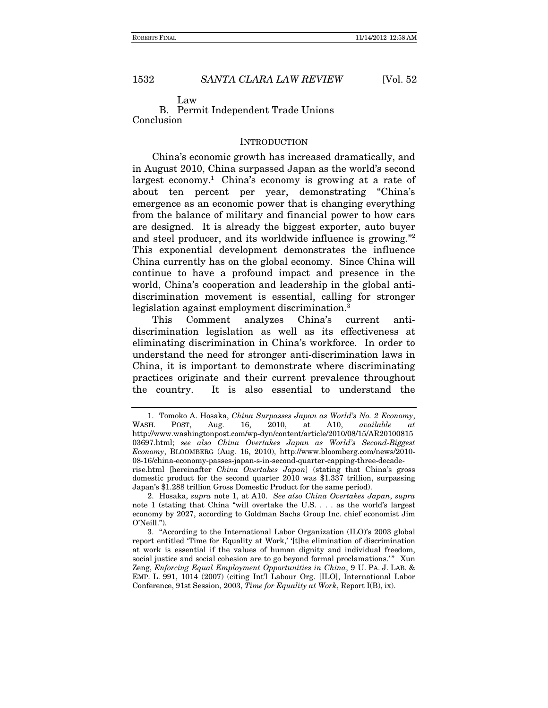Law

B. Permit Independent Trade Unions Conclusion

### **INTRODUCTION**

China's economic growth has increased dramatically, and in August 2010, China surpassed Japan as the world's second largest economy.<sup>1</sup> China's economy is growing at a rate of about ten percent per year, demonstrating "China's emergence as an economic power that is changing everything from the balance of military and financial power to how cars are designed. It is already the biggest exporter, auto buyer and steel producer, and its worldwide influence is growing."<sup>2</sup> This exponential development demonstrates the influence China currently has on the global economy. Since China will continue to have a profound impact and presence in the world, China's cooperation and leadership in the global antidiscrimination movement is essential, calling for stronger legislation against employment discrimination.<sup>3</sup>

This Comment analyzes China's current antidiscrimination legislation as well as its effectiveness at eliminating discrimination in China's workforce. In order to understand the need for stronger anti-discrimination laws in China, it is important to demonstrate where discriminating practices originate and their current prevalence throughout the country. It is also essential to understand the

 <sup>1.</sup> Tomoko A. Hosaka, *China Surpasses Japan as World's No. 2 Economy*, WASH. POST, Aug. 16, 2010, at A10, *available at* http://www.washingtonpost.com/wp-dyn/content/article/2010/08/15/AR20100815 03697.html; *see also China Overtakes Japan as World's Second-Biggest Economy*, BLOOMBERG (Aug. 16, 2010), http://www.bloomberg.com/news/2010- 08-16/china-economy-passes-japan-s-in-second-quarter-capping-three-decaderise.html [hereinafter *China Overtakes Japan*] (stating that China's gross domestic product for the second quarter 2010 was \$1.337 trillion, surpassing

Japan's \$1.288 trillion Gross Domestic Product for the same period). 2. Hosaka, *supra* note 1, at A10. *See also China Overtakes Japan*, *supra*

note 1 (stating that China "will overtake the U.S. . . . as the world's largest economy by 2027, according to Goldman Sachs Group Inc. chief economist Jim O'Neill.").

 <sup>3. &</sup>quot;According to the International Labor Organization (ILO)'s 2003 global report entitled 'Time for Equality at Work,' '[t]he elimination of discrimination at work is essential if the values of human dignity and individual freedom, social justice and social cohesion are to go beyond formal proclamations.'" Xun Zeng, *Enforcing Equal Employment Opportunities in China*, 9 U. PA. J. LAB. & EMP. L. 991, 1014 (2007) (citing Int'l Labour Org. [ILO], International Labor Conference, 91st Session, 2003, *Time for Equality at Work*, Report I(B), ix).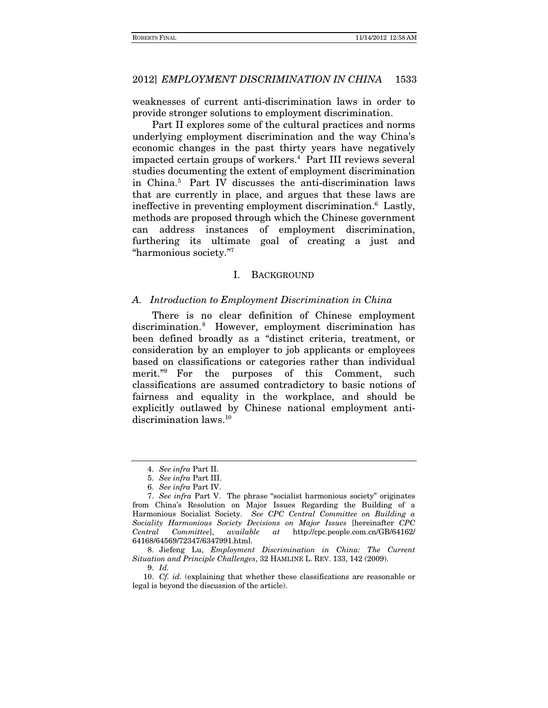weaknesses of current anti-discrimination laws in order to provide stronger solutions to employment discrimination.

Part II explores some of the cultural practices and norms underlying employment discrimination and the way China's economic changes in the past thirty years have negatively impacted certain groups of workers.4 Part III reviews several studies documenting the extent of employment discrimination in China.5 Part IV discusses the anti-discrimination laws that are currently in place, and argues that these laws are ineffective in preventing employment discrimination.<sup>6</sup> Lastly, methods are proposed through which the Chinese government can address instances of employment discrimination, furthering its ultimate goal of creating a just and "harmonious society."7

### I. BACKGROUND

#### *A. Introduction to Employment Discrimination in China*

There is no clear definition of Chinese employment discrimination.8 However, employment discrimination has been defined broadly as a "distinct criteria, treatment, or consideration by an employer to job applicants or employees based on classifications or categories rather than individual merit."9 For the purposes of this Comment, such classifications are assumed contradictory to basic notions of fairness and equality in the workplace, and should be explicitly outlawed by Chinese national employment antidiscrimination laws.<sup>10</sup>

9. *Id.*

<sup>4.</sup> *See infra* Part II.

<sup>5.</sup> *See infra* Part III.

<sup>6.</sup> *See infra* Part IV.

<sup>7.</sup> *See infra* Part V. The phrase "socialist harmonious society" originates from China's Resolution on Major Issues Regarding the Building of a Harmonious Socialist Society. *See CPC Central Committee on Building a Sociality Harmonious Society Decisions on Major Issues* [hereinafter *CPC Central Committee*], *available at* http://cpc.people.com.cn/GB/64162/ 64168/64569/72347/6347991.html.

 <sup>8.</sup> Jiefeng Lu, *Employment Discrimination in China: The Current Situation and Principle Challenges*, 32 HAMLINE L. REV. 133, 142 (2009).

<sup>10.</sup> *Cf. id.* (explaining that whether these classifications are reasonable or legal is beyond the discussion of the article).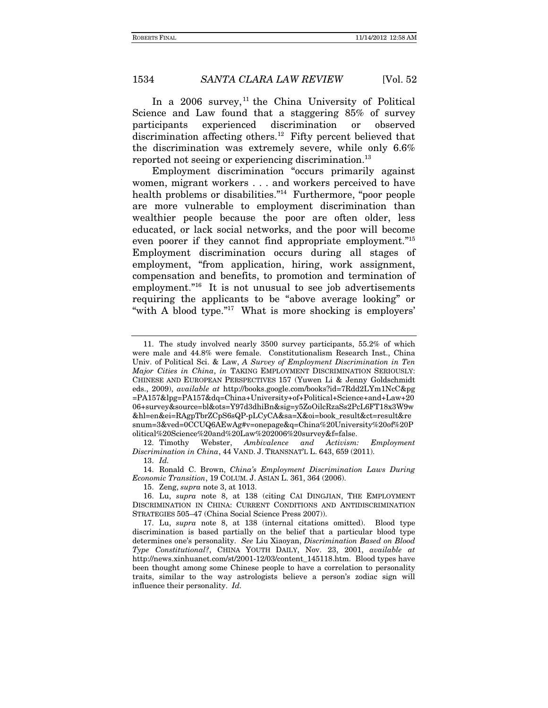In a 2006 survey,  $11$  the China University of Political Science and Law found that a staggering 85% of survey participants experienced discrimination or observed discrimination affecting others.<sup>12</sup> Fifty percent believed that the discrimination was extremely severe, while only 6.6% reported not seeing or experiencing discrimination.13

Employment discrimination "occurs primarily against women, migrant workers . . . and workers perceived to have health problems or disabilities."<sup>14</sup> Furthermore, "poor people are more vulnerable to employment discrimination than wealthier people because the poor are often older, less educated, or lack social networks, and the poor will become even poorer if they cannot find appropriate employment."15 Employment discrimination occurs during all stages of employment, "from application, hiring, work assignment, compensation and benefits, to promotion and termination of employment."<sup>16</sup> It is not unusual to see job advertisements requiring the applicants to be "above average looking" or "with A blood type."17 What is more shocking is employers'

15. Zeng, *supra* note 3, at 1013.

 <sup>11.</sup> The study involved nearly 3500 survey participants, 55.2% of which were male and 44.8% were female. Constitutionalism Research Inst., China Univ. of Political Sci. & Law, *A Survey of Employment Discrimination in Ten Major Cities in China*, *in* TAKING EMPLOYMENT DISCRIMINATION SERIOUSLY: CHINESE AND EUROPEAN PERSPECTIVES 157 (Yuwen Li & Jenny Goldschmidt eds., 2009), *available at* http://books.google.com/books?id=7Rdd2LYm1NcC&pg =PA157&lpg=PA157&dq=China+University+of+Political+Science+and+Law+20 06+survey&source=bl&ots=Y97d3dhiBn&sig=y5ZoOilcRzaSs2PcL6FT18x3W9w &hl=en&ei=RAgpTbrZCpS6sQP-pLCyCA&sa=X&oi=book\_result&ct=result&re snum=3&ved=0CCUQ6AEwAg#v=onepage&q=China%20University%20of%20P olitical%20Science%20and%20Law%202006%20survey&f=false.

 <sup>12.</sup> Timothy Webster, *Ambivalence and Activism: Employment Discrimination in China*, 44 VAND. J. TRANSNAT'L L. 643, 659 (2011).

<sup>13.</sup> *Id.*

 <sup>14.</sup> Ronald C. Brown, *China's Employment Discrimination Laws During Economic Transition*, 19 COLUM. J. ASIAN L. 361, 364 (2006).

 <sup>16.</sup> Lu, *supra* note 8, at 138 (citing CAI DINGJIAN, THE EMPLOYMENT DISCRIMINATION IN CHINA: CURRENT CONDITIONS AND ANTIDISCRIMINATION STRATEGIES 505–47 (China Social Science Press 2007)).

 <sup>17.</sup> Lu, *supra* note 8, at 138 (internal citations omitted). Blood type discrimination is based partially on the belief that a particular blood type determines one's personality. *See* Liu Xiaoyan, *Discrimination Based on Blood Type Constitutional?*, CHINA YOUTH DAILY, Nov. 23, 2001, *available at* http://news.xinhuanet.com/st/2001-12/03/content\_145118.htm. Blood types have been thought among some Chinese people to have a correlation to personality traits, similar to the way astrologists believe a person's zodiac sign will influence their personality. *Id.*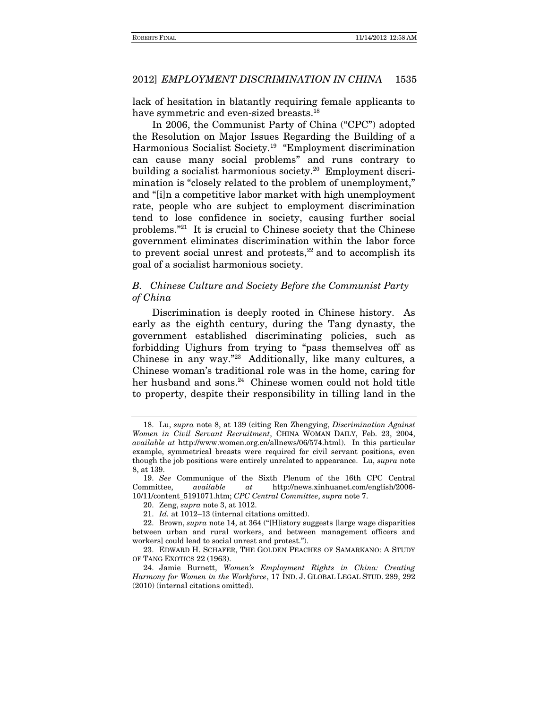lack of hesitation in blatantly requiring female applicants to have symmetric and even-sized breasts.<sup>18</sup>

In 2006, the Communist Party of China ("CPC") adopted the Resolution on Major Issues Regarding the Building of a Harmonious Socialist Society.19 "Employment discrimination can cause many social problems" and runs contrary to building a socialist harmonious society.20 Employment discrimination is "closely related to the problem of unemployment," and "[i]n a competitive labor market with high unemployment rate, people who are subject to employment discrimination tend to lose confidence in society, causing further social problems."21 It is crucial to Chinese society that the Chinese government eliminates discrimination within the labor force to prevent social unrest and protests, $2^2$  and to accomplish its goal of a socialist harmonious society.

# *B. Chinese Culture and Society Before the Communist Party of China*

Discrimination is deeply rooted in Chinese history. As early as the eighth century, during the Tang dynasty, the government established discriminating policies, such as forbidding Uighurs from trying to "pass themselves off as Chinese in any way."23 Additionally, like many cultures, a Chinese woman's traditional role was in the home, caring for her husband and sons.<sup>24</sup> Chinese women could not hold title to property, despite their responsibility in tilling land in the

 <sup>18.</sup> Lu, *supra* note 8, at 139 (citing Ren Zhengying, *Discrimination Against Women in Civil Servant Recruitment*, CHINA WOMAN DAILY, Feb. 23, 2004, *available at* http://www.women.org.cn/allnews/06/574.html). In this particular example, symmetrical breasts were required for civil servant positions, even though the job positions were entirely unrelated to appearance. Lu, *supra* note 8, at 139.

<sup>19.</sup> *See* Communique of the Sixth Plenum of the 16th CPC Central Committee, *available at* http://news.xinhuanet.com/english/2006- 10/11/content\_5191071.htm; *CPC Central Committee*, *supra* note 7.

 <sup>20.</sup> Zeng, *supra* note 3, at 1012.

<sup>21.</sup> *Id.* at 1012–13 (internal citations omitted).

 <sup>22.</sup> Brown, *supra* note 14, at 364 ("[H]istory suggests [large wage disparities between urban and rural workers, and between management officers and workers] could lead to social unrest and protest.").

 <sup>23.</sup> EDWARD H. SCHAFER, THE GOLDEN PEACHES OF SAMARKANO: A STUDY OF TANG EXOTICS 22 (1963).

 <sup>24.</sup> Jamie Burnett, *Women's Employment Rights in China: Creating Harmony for Women in the Workforce*, 17 IND. J. GLOBAL LEGAL STUD. 289, 292 (2010) (internal citations omitted).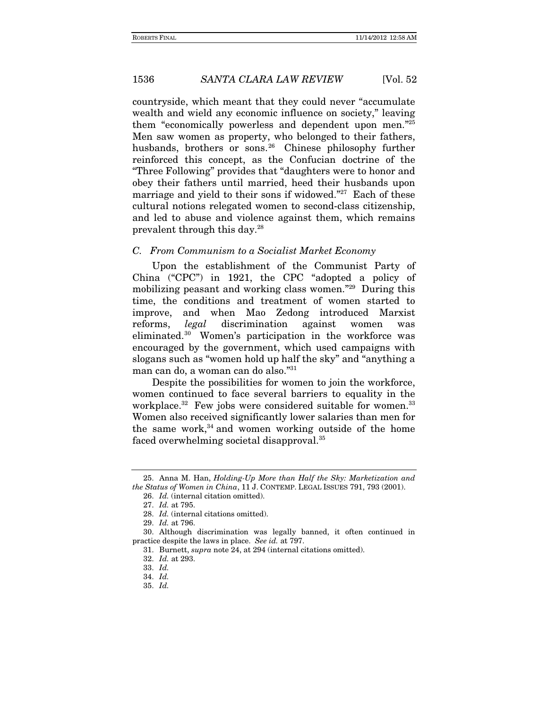countryside, which meant that they could never "accumulate wealth and wield any economic influence on society," leaving them "economically powerless and dependent upon men."25 Men saw women as property, who belonged to their fathers, husbands, brothers or sons.<sup>26</sup> Chinese philosophy further reinforced this concept, as the Confucian doctrine of the "Three Following" provides that "daughters were to honor and obey their fathers until married, heed their husbands upon marriage and yield to their sons if widowed."<sup>27</sup> Each of these cultural notions relegated women to second-class citizenship, and led to abuse and violence against them, which remains prevalent through this day.28

#### *C. From Communism to a Socialist Market Economy*

Upon the establishment of the Communist Party of China ("CPC") in 1921, the CPC "adopted a policy of mobilizing peasant and working class women."29 During this time, the conditions and treatment of women started to improve, and when Mao Zedong introduced Marxist reforms, *legal* discrimination against women was eliminated.30 Women's participation in the workforce was encouraged by the government, which used campaigns with slogans such as "women hold up half the sky" and "anything a man can do, a woman can do also."31

Despite the possibilities for women to join the workforce, women continued to face several barriers to equality in the workplace.<sup>32</sup> Few jobs were considered suitable for women.<sup>33</sup> Women also received significantly lower salaries than men for the same work, $34$  and women working outside of the home faced overwhelming societal disapproval.35

29. *Id.* at 796.

 <sup>25.</sup> Anna M. Han, *Holding-Up More than Half the Sky: Marketization and the Status of Women in China*, 11 J. CONTEMP. LEGAL ISSUES 791, 793 (2001).

<sup>26.</sup> *Id.* (internal citation omitted).

<sup>27.</sup> *Id.* at 795.

<sup>28.</sup> *Id.* (internal citations omitted).

 <sup>30.</sup> Although discrimination was legally banned, it often continued in practice despite the laws in place. *See id.* at 797.

 <sup>31.</sup> Burnett, *supra* note 24, at 294 (internal citations omitted).

 <sup>32.</sup> *Id.* at 293.

 <sup>33.</sup> *Id.*

 <sup>34.</sup> *Id.*

 <sup>35.</sup> *Id.*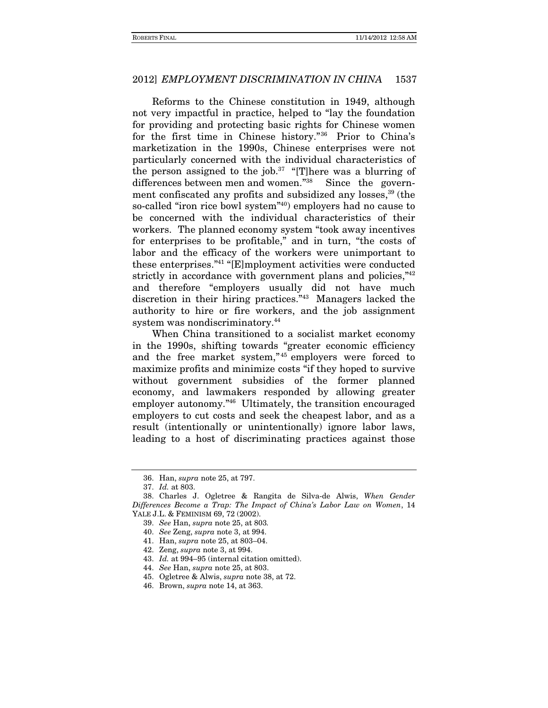Reforms to the Chinese constitution in 1949, although not very impactful in practice, helped to "lay the foundation for providing and protecting basic rights for Chinese women for the first time in Chinese history."36 Prior to China's marketization in the 1990s, Chinese enterprises were not particularly concerned with the individual characteristics of the person assigned to the job.<sup>37</sup> "[T]here was a blurring of differences between men and women."<sup>38</sup> Since the government confiscated any profits and subsidized any losses,<sup>39</sup> (the so-called "iron rice bowl system"<sup>40</sup>) employers had no cause to be concerned with the individual characteristics of their workers. The planned economy system "took away incentives for enterprises to be profitable," and in turn, "the costs of labor and the efficacy of the workers were unimportant to these enterprises."41 "[E]mployment activities were conducted strictly in accordance with government plans and policies,"<sup>42</sup> and therefore "employers usually did not have much discretion in their hiring practices."43 Managers lacked the authority to hire or fire workers, and the job assignment system was nondiscriminatory.<sup>44</sup>

When China transitioned to a socialist market economy in the 1990s, shifting towards "greater economic efficiency and the free market system,"<sup>45</sup> employers were forced to maximize profits and minimize costs "if they hoped to survive without government subsidies of the former planned economy, and lawmakers responded by allowing greater employer autonomy."46 Ultimately, the transition encouraged employers to cut costs and seek the cheapest labor, and as a result (intentionally or unintentionally) ignore labor laws, leading to a host of discriminating practices against those

 <sup>36.</sup> Han, *supra* note 25, at 797.

 <sup>37.</sup> *Id.* at 803.

 <sup>38.</sup> Charles J. Ogletree & Rangita de Silva-de Alwis, *When Gender Differences Become a Trap: The Impact of China's Labor Law on Women*, 14 YALE J.L. & FEMINISM 69, 72 (2002).

<sup>39.</sup> *See* Han, *supra* note 25, at 803*.*

<sup>40.</sup> *See* Zeng, *supra* note 3, at 994.

 <sup>41.</sup> Han, *supra* note 25, at 803–04.

 <sup>42.</sup> Zeng, *supra* note 3, at 994.

 <sup>43.</sup> *Id.* at 994–95 (internal citation omitted).

<sup>44.</sup> *See* Han, *supra* note 25, at 803.

 <sup>45.</sup> Ogletree & Alwis, *supra* note 38, at 72.

 <sup>46.</sup> Brown, *supra* note 14, at 363.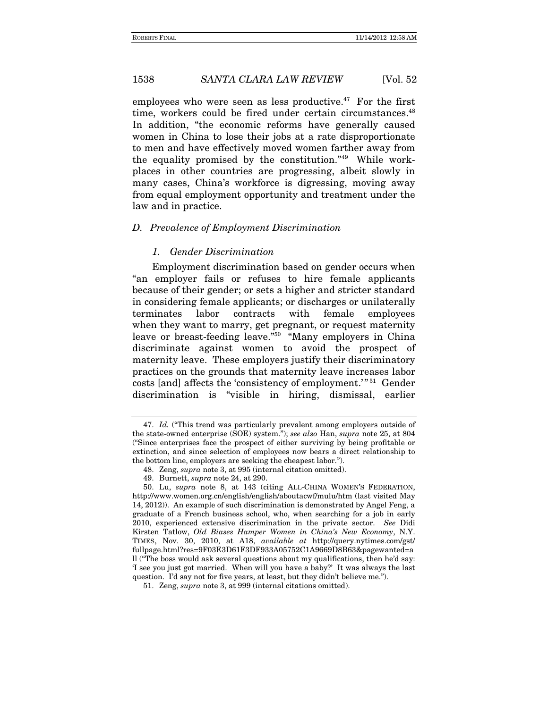employees who were seen as less productive.<sup> $47$ </sup> For the first time, workers could be fired under certain circumstances.<sup>48</sup> In addition, "the economic reforms have generally caused women in China to lose their jobs at a rate disproportionate to men and have effectively moved women farther away from the equality promised by the constitution."49 While workplaces in other countries are progressing, albeit slowly in many cases, China's workforce is digressing, moving away from equal employment opportunity and treatment under the law and in practice.

# *D. Prevalence of Employment Discrimination*

# *1. Gender Discrimination*

Employment discrimination based on gender occurs when "an employer fails or refuses to hire female applicants because of their gender; or sets a higher and stricter standard in considering female applicants; or discharges or unilaterally terminates labor contracts with female employees when they want to marry, get pregnant, or request maternity leave or breast-feeding leave."50 "Many employers in China discriminate against women to avoid the prospect of maternity leave. These employers justify their discriminatory practices on the grounds that maternity leave increases labor costs [and] affects the 'consistency of employment.'"<sup>51</sup> Gender discrimination is "visible in hiring, dismissal, earlier

 <sup>47.</sup> *Id.* ("This trend was particularly prevalent among employers outside of the state-owned enterprise (SOE) system."); *see also* Han, *supra* note 25, at 804 ("Since enterprises face the prospect of either surviving by being profitable or extinction, and since selection of employees now bears a direct relationship to the bottom line, employers are seeking the cheapest labor.").

 <sup>48.</sup> Zeng, *supra* note 3, at 995 (internal citation omitted).

 <sup>49.</sup> Burnett, *supra* note 24, at 290.

 <sup>50.</sup> Lu, *supra* note 8, at 143 (citing ALL-CHINA WOMEN'S FEDERATION, http://www.women.org.cn/english/english/aboutacwf/mulu/htm (last visited May 14, 2012)). An example of such discrimination is demonstrated by Angel Feng, a graduate of a French business school, who, when searching for a job in early 2010, experienced extensive discrimination in the private sector. *See* Didi Kirsten Tatlow, *Old Biases Hamper Women in China's New Economy*, N.Y. TIMES, Nov. 30, 2010, at A18, *available at* http://query.nytimes.com/gst/ fullpage.html?res=9F03E3D61F3DF933A05752C1A9669D8B63&pagewanted=a ll ("The boss would ask several questions about my qualifications, then he'd say: 'I see you just got married. When will you have a baby?' It was always the last question. I'd say not for five years, at least, but they didn't believe me.").

 <sup>51.</sup> Zeng, *supra* note 3, at 999 (internal citations omitted).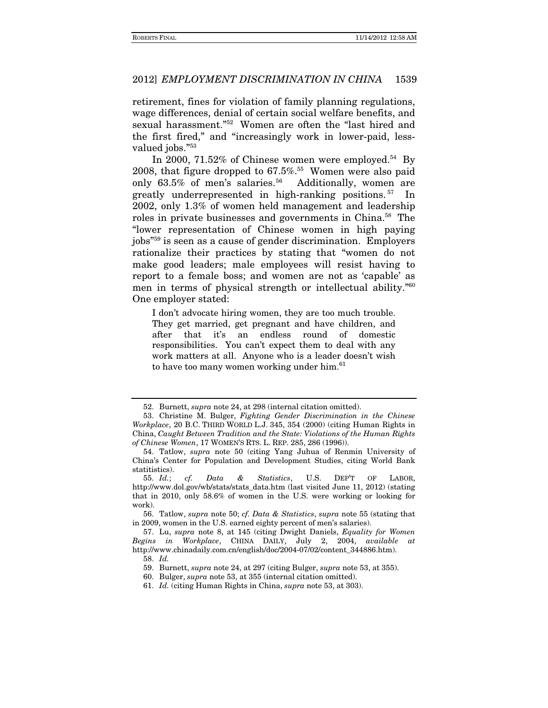retirement, fines for violation of family planning regulations, wage differences, denial of certain social welfare benefits, and sexual harassment."52 Women are often the "last hired and the first fired," and "increasingly work in lower-paid, lessvalued jobs."<sup>53</sup>

In 2000, 71.52% of Chinese women were employed.<sup>54</sup> By 2008, that figure dropped to  $67.5\%$ .<sup>55</sup> Women were also paid only  $63.5\%$  of men's salaries.<sup>56</sup> Additionally, women are greatly underrepresented in high-ranking positions. 57 In 2002, only 1.3% of women held management and leadership roles in private businesses and governments in China.58 The "lower representation of Chinese women in high paying jobs"59 is seen as a cause of gender discrimination. Employers rationalize their practices by stating that "women do not make good leaders; male employees will resist having to report to a female boss; and women are not as 'capable' as men in terms of physical strength or intellectual ability.<sup>760</sup> One employer stated:

I don't advocate hiring women, they are too much trouble. They get married, get pregnant and have children, and after that it's an endless round of domestic responsibilities. You can't expect them to deal with any work matters at all. Anyone who is a leader doesn't wish to have too many women working under him.<sup>61</sup>

 <sup>52.</sup> Burnett, *supra* note 24, at 298 (internal citation omitted).

 <sup>53.</sup> Christine M. Bulger, *Fighting Gender Discrimination in the Chinese Workplace*, 20 B.C. THIRD WORLD L.J. 345, 354 (2000) (citing Human Rights in China, *Caught Between Tradition and the State: Violations of the Human Rights of Chinese Women*, 17 WOMEN'S RTS. L. REP. 285, 286 (1996)).

 <sup>54.</sup> Tatlow, *supra* note 50 (citing Yang Juhua of Renmin University of China's Center for Population and Development Studies, citing World Bank statitistics).

 <sup>55.</sup> *Id.*; *cf. Data & Statistics*, U.S. DEP'T OF LABOR, http://www.dol.gov/wb/stats/stats\_data.htm (last visited June 11, 2012) (stating that in 2010, only 58.6% of women in the U.S. were working or looking for work).

 <sup>56.</sup> Tatlow, *supra* note 50; *cf. Data & Statistics*, *supra* note 55 (stating that in 2009, women in the U.S. earned eighty percent of men's salaries).

 <sup>57.</sup> Lu, *supra* note 8, at 145 (citing Dwight Daniels, *Equality for Women Begins in Workplace*, CHINA DAILY, July 2, 2004, *available at* http://www.chinadaily.com.cn/english/doc/2004-07/02/content\_344886.htm).

 <sup>58.</sup> *Id.*

 <sup>59.</sup> Burnett, *supra* note 24, at 297 (citing Bulger, *supra* note 53, at 355).

 <sup>60.</sup> Bulger, *supra* note 53, at 355 (internal citation omitted).

 <sup>61.</sup> *Id.* (citing Human Rights in China, *supra* note 53, at 303).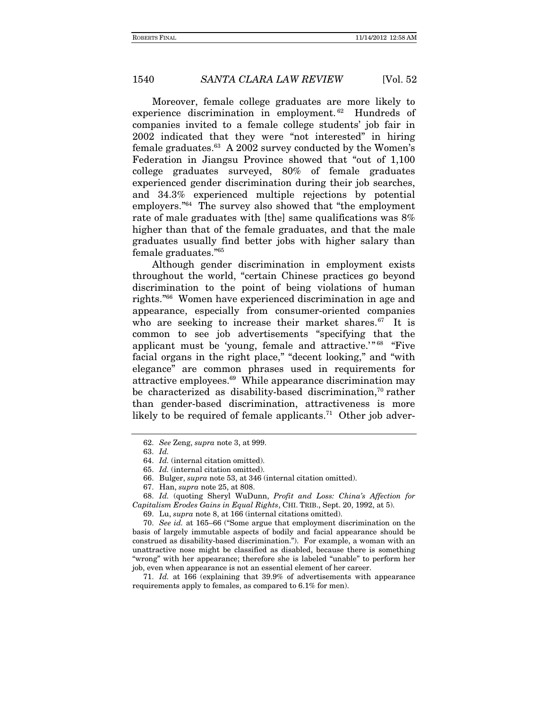Moreover, female college graduates are more likely to experience discrimination in employment.<sup>62</sup> Hundreds of companies invited to a female college students' job fair in 2002 indicated that they were "not interested" in hiring female graduates. $63$  A 2002 survey conducted by the Women's Federation in Jiangsu Province showed that "out of 1,100 college graduates surveyed, 80% of female graduates experienced gender discrimination during their job searches, and 34.3% experienced multiple rejections by potential employers."64 The survey also showed that "the employment rate of male graduates with [the] same qualifications was 8% higher than that of the female graduates, and that the male graduates usually find better jobs with higher salary than female graduates."65

Although gender discrimination in employment exists throughout the world, "certain Chinese practices go beyond discrimination to the point of being violations of human rights."66 Women have experienced discrimination in age and appearance, especially from consumer-oriented companies who are seeking to increase their market shares.<sup>67</sup> It is common to see job advertisements "specifying that the applicant must be 'young, female and attractive.'" 68 "Five facial organs in the right place," "decent looking," and "with elegance" are common phrases used in requirements for attractive employees.69 While appearance discrimination may be characterized as disability-based discrimination,<sup>70</sup> rather than gender-based discrimination, attractiveness is more likely to be required of female applicants.<sup>71</sup> Other job adver-

 68. *Id.* (quoting Sheryl WuDunn, *Profit and Loss: China's Affection for Capitalism Erodes Gains in Equal Rights*, CHI. TRIB., Sept. 20, 1992, at 5).

70. *See id.* at 165–66 ("Some argue that employment discrimination on the basis of largely immutable aspects of bodily and facial appearance should be construed as disability-based discrimination."). For example, a woman with an unattractive nose might be classified as disabled, because there is something "wrong" with her appearance; therefore she is labeled "unable" to perform her job, even when appearance is not an essential element of her career.

 71. *Id.* at 166 (explaining that 39.9% of advertisements with appearance requirements apply to females, as compared to 6.1% for men).

<sup>62.</sup> *See* Zeng, *supra* note 3, at 999.

 <sup>63.</sup> *Id.*

 <sup>64.</sup> *Id.* (internal citation omitted).

 <sup>65.</sup> *Id.* (internal citation omitted).

 <sup>66.</sup> Bulger, *supra* note 53, at 346 (internal citation omitted).

 <sup>67.</sup> Han, *supra* note 25, at 808.

 <sup>69.</sup> Lu, *supra* note 8, at 166 (internal citations omitted).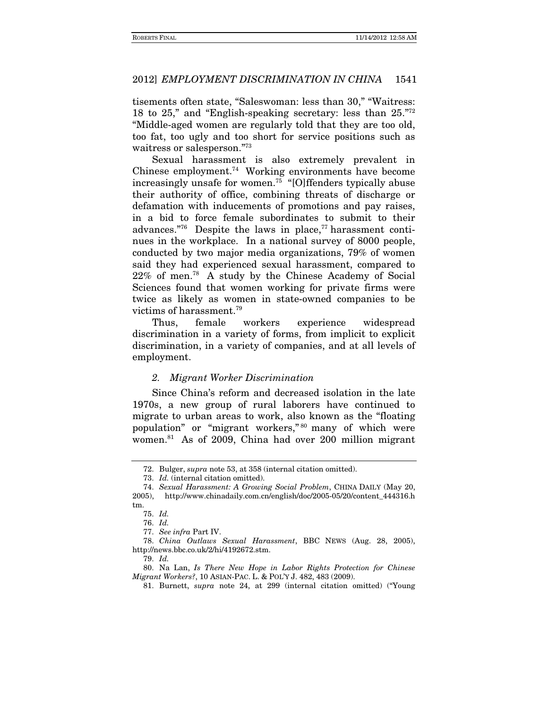tisements often state, "Saleswoman: less than 30," "Waitress: 18 to 25," and "English-speaking secretary: less than 25."72 "Middle-aged women are regularly told that they are too old, too fat, too ugly and too short for service positions such as waitress or salesperson."73

Sexual harassment is also extremely prevalent in Chinese employment.74 Working environments have become increasingly unsafe for women.75 "[O]ffenders typically abuse their authority of office, combining threats of discharge or defamation with inducements of promotions and pay raises, in a bid to force female subordinates to submit to their advances."<sup>76</sup> Despite the laws in place, $^{77}$  harassment continues in the workplace. In a national survey of 8000 people, conducted by two major media organizations, 79% of women said they had experienced sexual harassment, compared to 22% of men.78 A study by the Chinese Academy of Social Sciences found that women working for private firms were twice as likely as women in state-owned companies to be victims of harassment.79

Thus, female workers experience widespread discrimination in a variety of forms, from implicit to explicit discrimination, in a variety of companies, and at all levels of employment.

#### *2. Migrant Worker Discrimination*

Since China's reform and decreased isolation in the late 1970s, a new group of rural laborers have continued to migrate to urban areas to work, also known as the "floating population" or "migrant workers," 80 many of which were women.81 As of 2009, China had over 200 million migrant

 <sup>72.</sup> Bulger, *supra* note 53, at 358 (internal citation omitted).

 <sup>73.</sup> *Id.* (internal citation omitted).

<sup>74.</sup> *Sexual Harassment: A Growing Social Problem*, CHINA DAILY (May 20, 2005), http://www.chinadaily.com.cn/english/doc/2005-05/20/content\_444316.h tm.

<sup>75.</sup> *Id.*

<sup>76.</sup> *Id.*

<sup>77.</sup> *See infra* Part IV.

<sup>78.</sup> *China Outlaws Sexual Harassment*, BBC NEWS (Aug. 28, 2005), http://news.bbc.co.uk/2/hi/4192672.stm.

<sup>79.</sup> *Id.*

 <sup>80.</sup> Na Lan, *Is There New Hope in Labor Rights Protection for Chinese Migrant Workers?*, 10 ASIAN-PAC. L. & POL'Y J. 482, 483 (2009).

 <sup>81.</sup> Burnett, *supra* note 24, at 299 (internal citation omitted) ("Young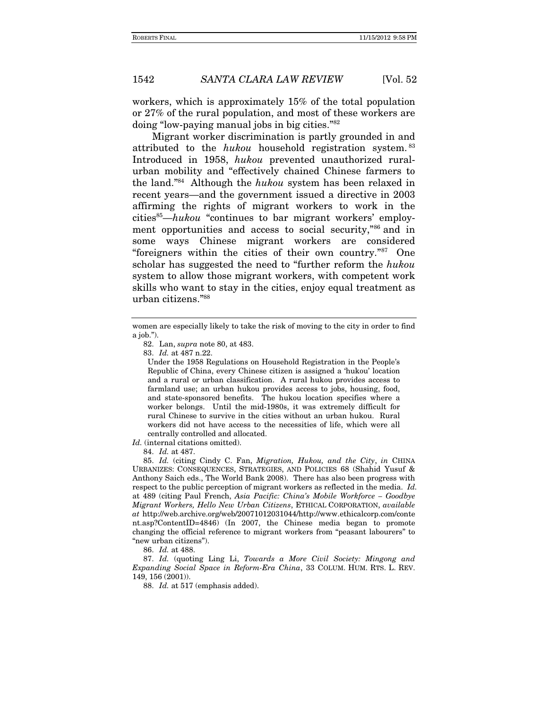workers, which is approximately 15% of the total population or 27% of the rural population, and most of these workers are doing "low-paying manual jobs in big cities."82

Migrant worker discrimination is partly grounded in and attributed to the hukou household registration system. <sup>83</sup> Introduced in 1958, hukou prevented unauthorized ruralurban mobility and "effectively chained Chinese farmers to the land."84 Although the hukou system has been relaxed in recent years—and the government issued a directive in 2003 affirming the rights of migrant workers to work in the  $cities<sup>85</sup>—hukou$  "continues to bar migrant workers' employment opportunities and access to social security,"86 and in some ways Chinese migrant workers are considered "foreigners within the cities of their own country."87 One scholar has suggested the need to "further reform the hukou system to allow those migrant workers, with competent work skills who want to stay in the cities, enjoy equal treatment as urban citizens."88

82. Lan, supra note 80, at 483.

83. Id. at 487 n.22.

Under the 1958 Regulations on Household Registration in the People's Republic of China, every Chinese citizen is assigned a 'hukou' location and a rural or urban classification. A rural hukou provides access to farmland use; an urban hukou provides access to jobs, housing, food, and state-sponsored benefits. The hukou location specifies where a worker belongs. Until the mid-1980s, it was extremely difficult for rural Chinese to survive in the cities without an urban hukou. Rural workers did not have access to the necessities of life, which were all centrally controlled and allocated.

Id. (internal citations omitted).

84. Id. at 487.

 85. Id. (citing Cindy C. Fan, Migration, Hukou, and the City, in CHINA URBANIZES: CONSEQUENCES, STRATEGIES, AND POLICIES 68 (Shahid Yusuf & Anthony Saich eds., The World Bank 2008). There has also been progress with respect to the public perception of migrant workers as reflected in the media. Id. at 489 (citing Paul French, Asia Pacific: China's Mobile Workforce – Goodbye Migrant Workers, Hello New Urban Citizens, ETHICAL CORPORATION, available at http://web.archive.org/web/20071012031044/http://www.ethicalcorp.com/conte nt.asp?ContentID=4846) (In 2007, the Chinese media began to promote changing the official reference to migrant workers from "peasant labourers" to "new urban citizens").

86. Id. at 488.

 87. Id. (quoting Ling Li, Towards a More Civil Society: Mingong and Expanding Social Space in Reform-Era China, 33 COLUM. HUM. RTS. L. REV. 149, 156 (2001)).

88. Id. at 517 (emphasis added).

women are especially likely to take the risk of moving to the city in order to find a job.").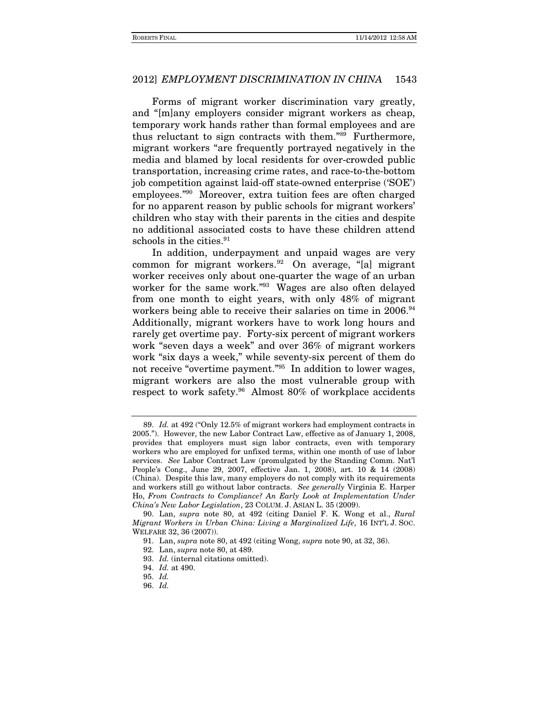Forms of migrant worker discrimination vary greatly, and "[m]any employers consider migrant workers as cheap, temporary work hands rather than formal employees and are thus reluctant to sign contracts with them."89 Furthermore, migrant workers "are frequently portrayed negatively in the media and blamed by local residents for over-crowded public transportation, increasing crime rates, and race-to-the-bottom job competition against laid-off state-owned enterprise ('SOE') employees."90 Moreover, extra tuition fees are often charged for no apparent reason by public schools for migrant workers' children who stay with their parents in the cities and despite no additional associated costs to have these children attend schools in the cities.<sup>91</sup>

In addition, underpayment and unpaid wages are very common for migrant workers.92 On average, "[a] migrant worker receives only about one-quarter the wage of an urban worker for the same work."93 Wages are also often delayed from one month to eight years, with only 48% of migrant workers being able to receive their salaries on time in 2006.<sup>94</sup> Additionally, migrant workers have to work long hours and rarely get overtime pay. Forty-six percent of migrant workers work "seven days a week" and over 36% of migrant workers work "six days a week," while seventy-six percent of them do not receive "overtime payment."95 In addition to lower wages, migrant workers are also the most vulnerable group with respect to work safety.96 Almost 80% of workplace accidents

 <sup>89.</sup> *Id.* at 492 ("Only 12.5% of migrant workers had employment contracts in 2005."). However, the new Labor Contract Law, effective as of January 1, 2008, provides that employers must sign labor contracts, even with temporary workers who are employed for unfixed terms, within one month of use of labor services. *See* Labor Contract Law (promulgated by the Standing Comm. Nat'l People's Cong., June 29, 2007, effective Jan. 1, 2008), art. 10 & 14 (2008) (China). Despite this law, many employers do not comply with its requirements and workers still go without labor contracts. *See generally* Virginia E. Harper Ho, *From Contracts to Compliance? An Early Look at Implementation Under China's New Labor Legislation*, 23 COLUM. J. ASIAN L. 35 (2009).

 <sup>90.</sup> Lan, *supra* note 80, at 492 (citing Daniel F. K. Wong et al., *Rural Migrant Workers in Urban China: Living a Marginalized Life*, 16 INT'L J. SOC. WELFARE 32, 36 (2007)).

 <sup>91.</sup> Lan, *supra* note 80, at 492 (citing Wong, *supra* note 90, at 32, 36).

 <sup>92.</sup> Lan, *supra* note 80, at 489.

 <sup>93.</sup> *Id.* (internal citations omitted).

 <sup>94.</sup> *Id.* at 490.

 <sup>95.</sup> *Id.*

 <sup>96.</sup> *Id.*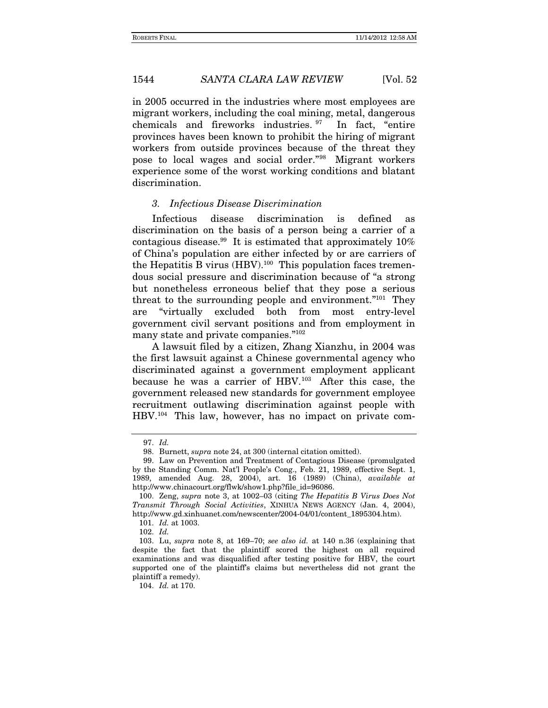in 2005 occurred in the industries where most employees are migrant workers, including the coal mining, metal, dangerous chemicals and fireworks industries. 97 In fact, "entire provinces haves been known to prohibit the hiring of migrant workers from outside provinces because of the threat they pose to local wages and social order."98 Migrant workers experience some of the worst working conditions and blatant discrimination.

### *3. Infectious Disease Discrimination*

Infectious disease discrimination is defined as discrimination on the basis of a person being a carrier of a contagious disease.<sup>99</sup> It is estimated that approximately  $10\%$ of China's population are either infected by or are carriers of the Hepatitis B virus  $(HBV).<sup>100</sup>$  This population faces tremendous social pressure and discrimination because of "a strong but nonetheless erroneous belief that they pose a serious threat to the surrounding people and environment."101 They are "virtually excluded both from most entry-level government civil servant positions and from employment in many state and private companies."102

A lawsuit filed by a citizen, Zhang Xianzhu, in 2004 was the first lawsuit against a Chinese governmental agency who discriminated against a government employment applicant because he was a carrier of HBV.103 After this case, the government released new standards for government employee recruitment outlawing discrimination against people with HBV.104 This law, however, has no impact on private com-

 <sup>97.</sup> *Id.*

 <sup>98.</sup> Burnett, *supra* note 24, at 300 (internal citation omitted).

 <sup>99.</sup> Law on Prevention and Treatment of Contagious Disease (promulgated by the Standing Comm. Nat'l People's Cong., Feb. 21, 1989, effective Sept. 1, 1989, amended Aug. 28, 2004), art. 16 (1989) (China), *available at* http://www.chinacourt.org/flwk/show1.php?file\_id=96086.

 <sup>100.</sup> Zeng, *supra* note 3, at 1002–03 (citing *The Hepatitis B Virus Does Not Transmit Through Social Activities*, XINHUA NEWS AGENCY (Jan. 4, 2004), http://www.gd.xinhuanet.com/newscenter/2004-04/01/content\_1895304.htm).

 <sup>101.</sup> *Id.* at 1003.

 <sup>102.</sup> *Id.*

 <sup>103.</sup> Lu, *supra* note 8, at 169–70; *see also id.* at 140 n.36 (explaining that despite the fact that the plaintiff scored the highest on all required examinations and was disqualified after testing positive for HBV, the court supported one of the plaintiff's claims but nevertheless did not grant the plaintiff a remedy).

 <sup>104.</sup> *Id.* at 170.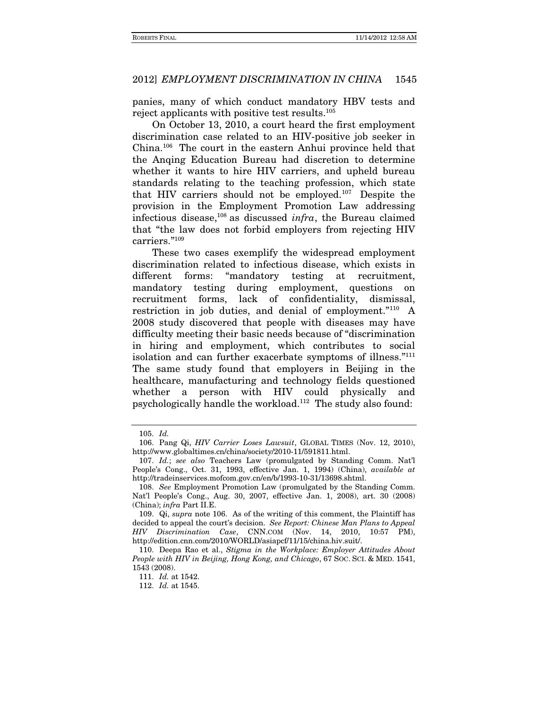panies, many of which conduct mandatory HBV tests and reject applicants with positive test results.105

On October 13, 2010, a court heard the first employment discrimination case related to an HIV-positive job seeker in China.106 The court in the eastern Anhui province held that the Anqing Education Bureau had discretion to determine whether it wants to hire HIV carriers, and upheld bureau standards relating to the teaching profession, which state that HIV carriers should not be employed.107 Despite the provision in the Employment Promotion Law addressing infectious disease,108 as discussed *infra*, the Bureau claimed that "the law does not forbid employers from rejecting HIV carriers."109

These two cases exemplify the widespread employment discrimination related to infectious disease, which exists in different forms: "mandatory testing at recruitment, mandatory testing during employment, questions on recruitment forms, lack of confidentiality, dismissal, restriction in job duties, and denial of employment."110 A 2008 study discovered that people with diseases may have difficulty meeting their basic needs because of "discrimination in hiring and employment, which contributes to social isolation and can further exacerbate symptoms of illness."111 The same study found that employers in Beijing in the healthcare, manufacturing and technology fields questioned whether a person with HIV could physically and psychologically handle the workload.112 The study also found:

 <sup>105.</sup> *Id.*

 <sup>106.</sup> Pang Qi, *HIV Carrier Loses Lawsuit*, GLOBAL TIMES (Nov. 12, 2010), http://www.globaltimes.cn/china/society/2010-11/591811.html.

<sup>107.</sup> *Id.*; *see also* Teachers Law (promulgated by Standing Comm. Nat'l People's Cong., Oct. 31, 1993, effective Jan. 1, 1994) (China), *available at* http://tradeinservices.mofcom.gov.cn/en/b/1993-10-31/13698.shtml.

<sup>108.</sup> *See* Employment Promotion Law (promulgated by the Standing Comm. Nat'l People's Cong., Aug. 30, 2007, effective Jan. 1, 2008), art. 30 (2008) (China); *infra* Part II.E.

 <sup>109.</sup> Qi, *supra* note 106. As of the writing of this comment, the Plaintiff has decided to appeal the court's decision. *See Report: Chinese Man Plans to Appeal HIV Discrimination Case*, CNN.COM (Nov. 14, 2010, 10:57 PM), http://edition.cnn.com/2010/WORLD/asiapcf/11/15/china.hiv.suit/.

 <sup>110.</sup> Deepa Rao et al., *Stigma in the Workplace: Employer Attitudes About People with HIV in Beijing, Hong Kong, and Chicago*, 67 SOC. SCI. & MED. 1541, 1543 (2008).

<sup>111.</sup> *Id.* at 1542.

<sup>112.</sup> *Id.* at 1545.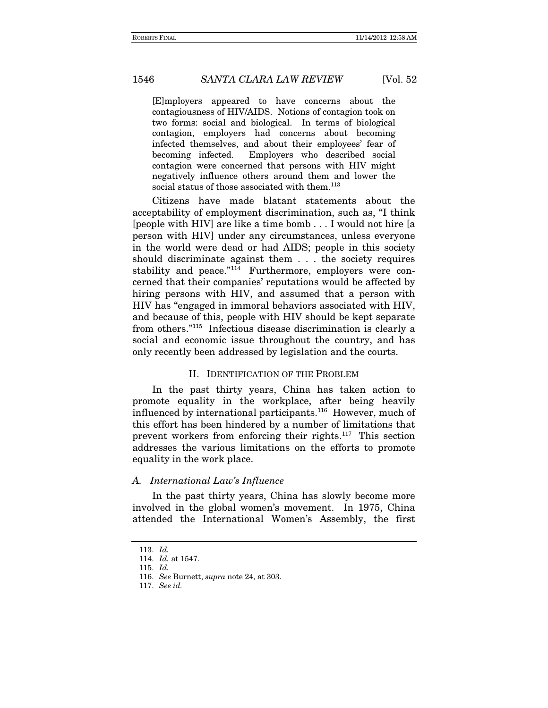[E]mployers appeared to have concerns about the contagiousness of HIV/AIDS. Notions of contagion took on two forms: social and biological. In terms of biological contagion, employers had concerns about becoming infected themselves, and about their employees' fear of becoming infected. Employers who described social contagion were concerned that persons with HIV might negatively influence others around them and lower the social status of those associated with them.<sup>113</sup>

Citizens have made blatant statements about the acceptability of employment discrimination, such as, "I think [people with HIV] are like a time bomb . . . I would not hire [a person with HIV] under any circumstances, unless everyone in the world were dead or had AIDS; people in this society should discriminate against them . . . the society requires stability and peace."<sup>114</sup> Furthermore, employers were concerned that their companies' reputations would be affected by hiring persons with HIV, and assumed that a person with HIV has "engaged in immoral behaviors associated with HIV, and because of this, people with HIV should be kept separate from others."115 Infectious disease discrimination is clearly a social and economic issue throughout the country, and has only recently been addressed by legislation and the courts.

# II. IDENTIFICATION OF THE PROBLEM

In the past thirty years, China has taken action to promote equality in the workplace, after being heavily influenced by international participants.116 However, much of this effort has been hindered by a number of limitations that prevent workers from enforcing their rights.117 This section addresses the various limitations on the efforts to promote equality in the work place.

### *A. International Law's Influence*

In the past thirty years, China has slowly become more involved in the global women's movement. In 1975, China attended the International Women's Assembly, the first

<sup>113.</sup> *Id.*

<sup>114.</sup> *Id.* at 1547.

<sup>115.</sup> *Id.*

<sup>116.</sup> *See* Burnett, *supra* note 24, at 303.

<sup>117.</sup> *See id.*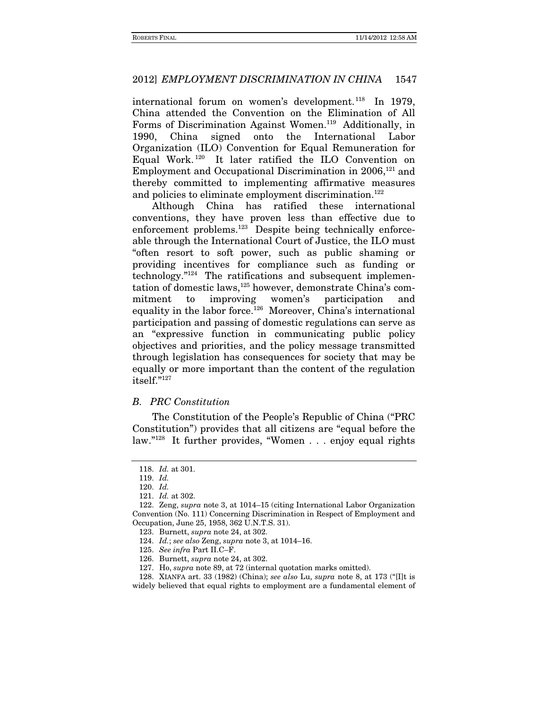international forum on women's development.<sup>118</sup> In 1979, China attended the Convention on the Elimination of All Forms of Discrimination Against Women.119 Additionally, in 1990, China signed onto the International Labor Organization (ILO) Convention for Equal Remuneration for Equal Work. 120 It later ratified the ILO Convention on Employment and Occupational Discrimination in 2006,<sup>121</sup> and thereby committed to implementing affirmative measures and policies to eliminate employment discrimination.<sup>122</sup>

Although China has ratified these international conventions, they have proven less than effective due to enforcement problems.<sup>123</sup> Despite being technically enforceable through the International Court of Justice, the ILO must "often resort to soft power, such as public shaming or providing incentives for compliance such as funding or technology."124 The ratifications and subsequent implementation of domestic laws,125 however, demonstrate China's commitment to improving women's participation and equality in the labor force.<sup>126</sup> Moreover, China's international participation and passing of domestic regulations can serve as an "expressive function in communicating public policy objectives and priorities, and the policy message transmitted through legislation has consequences for society that may be equally or more important than the content of the regulation itself."127

# *B. PRC Constitution*

The Constitution of the People's Republic of China ("PRC Constitution") provides that all citizens are "equal before the law."128 It further provides, "Women . . . enjoy equal rights

 128. XIANFA art. 33 (1982) (China); *see also* Lu, *supra* note 8, at 173 ("[I]t is widely believed that equal rights to employment are a fundamental element of

 <sup>118.</sup> *Id.* at 301.

 <sup>119.</sup> *Id.*

 <sup>120.</sup> *Id.*

 <sup>121.</sup> *Id.* at 302.

 <sup>122.</sup> Zeng, *supra* note 3, at 1014–15 (citing International Labor Organization Convention (No. 111) Concerning Discrimination in Respect of Employment and Occupation, June 25, 1958, 362 U.N.T.S. 31).

 <sup>123.</sup> Burnett, *supra* note 24, at 302.

 <sup>124.</sup> *Id.*; *see also* Zeng, *supra* note 3, at 1014–16.

<sup>125.</sup> *See infra* Part II.C–F.

 <sup>126.</sup> Burnett, *supra* note 24, at 302.

 <sup>127.</sup> Ho, *supra* note 89, at 72 (internal quotation marks omitted).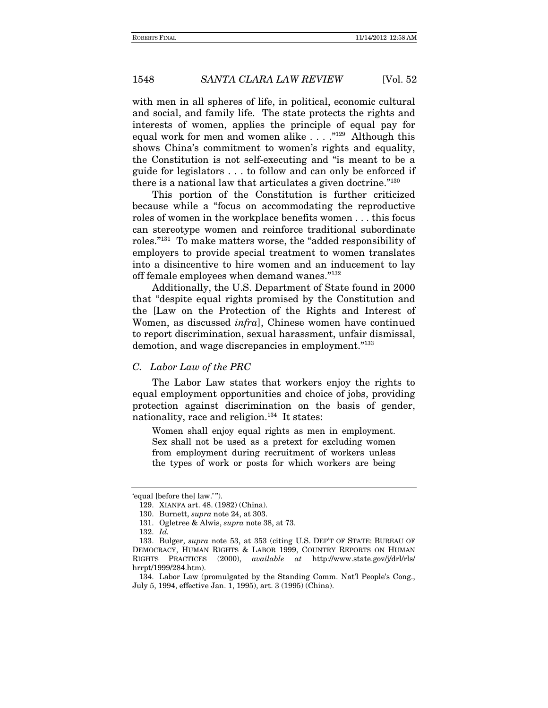with men in all spheres of life, in political, economic cultural and social, and family life. The state protects the rights and interests of women, applies the principle of equal pay for equal work for men and women alike  $\dots$ ."<sup>129</sup> Although this shows China's commitment to women's rights and equality, the Constitution is not self-executing and "is meant to be a guide for legislators . . . to follow and can only be enforced if there is a national law that articulates a given doctrine."130

This portion of the Constitution is further criticized because while a "focus on accommodating the reproductive roles of women in the workplace benefits women . . . this focus can stereotype women and reinforce traditional subordinate roles."131 To make matters worse, the "added responsibility of employers to provide special treatment to women translates into a disincentive to hire women and an inducement to lay off female employees when demand wanes."132

Additionally, the U.S. Department of State found in 2000 that "despite equal rights promised by the Constitution and the [Law on the Protection of the Rights and Interest of Women, as discussed *infra*], Chinese women have continued to report discrimination, sexual harassment, unfair dismissal, demotion, and wage discrepancies in employment."133

#### *C. Labor Law of the PRC*

The Labor Law states that workers enjoy the rights to equal employment opportunities and choice of jobs, providing protection against discrimination on the basis of gender, nationality, race and religion.<sup>134</sup> It states:

Women shall enjoy equal rights as men in employment. Sex shall not be used as a pretext for excluding women from employment during recruitment of workers unless the types of work or posts for which workers are being

<sup>&#</sup>x27;equal [before the] law.' ").

 <sup>129.</sup> XIANFA art. 48. (1982) (China).

 <sup>130.</sup> Burnett, *supra* note 24, at 303.

 <sup>131.</sup> Ogletree & Alwis, *supra* note 38, at 73.

 <sup>132.</sup> *Id.*

 <sup>133.</sup> Bulger, *supra* note 53, at 353 (citing U.S. DEP'T OF STATE: BUREAU OF DEMOCRACY, HUMAN RIGHTS & LABOR 1999, COUNTRY REPORTS ON HUMAN RIGHTS PRACTICES (2000), *available at* http://www.state.gov/j/drl/rls/ hrrpt/1999/284.htm).

 <sup>134.</sup> Labor Law (promulgated by the Standing Comm. Nat'l People's Cong., July 5, 1994, effective Jan. 1, 1995), art. 3 (1995) (China).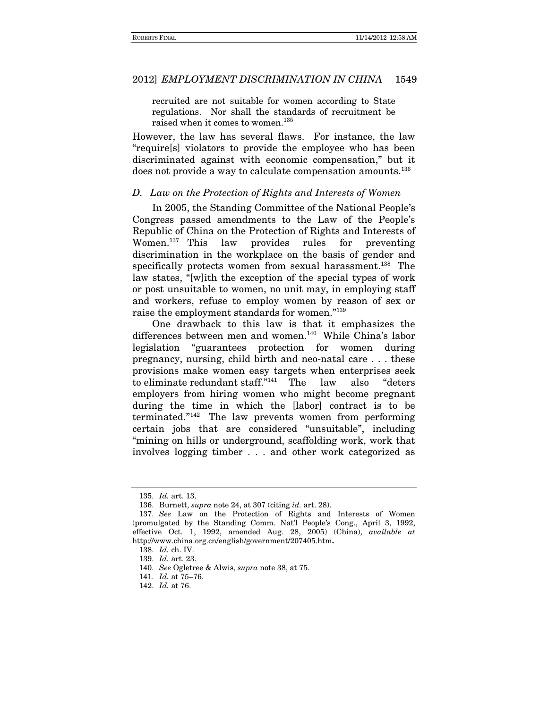recruited are not suitable for women according to State regulations. Nor shall the standards of recruitment be raised when it comes to women.<sup>135</sup>

However, the law has several flaws. For instance, the law "require[s] violators to provide the employee who has been discriminated against with economic compensation," but it does not provide a way to calculate compensation amounts.<sup>136</sup>

# *D. Law on the Protection of Rights and Interests of Women*

In 2005, the Standing Committee of the National People's Congress passed amendments to the Law of the People's Republic of China on the Protection of Rights and Interests of Women.137 This law provides rules for preventing discrimination in the workplace on the basis of gender and specifically protects women from sexual harassment.<sup>138</sup> The law states, "[w]ith the exception of the special types of work or post unsuitable to women, no unit may, in employing staff and workers, refuse to employ women by reason of sex or raise the employment standards for women."139

One drawback to this law is that it emphasizes the differences between men and women.<sup>140</sup> While China's labor legislation "guarantees protection for women during pregnancy, nursing, child birth and neo-natal care . . . these provisions make women easy targets when enterprises seek to eliminate redundant staff."141 The law also "deters employers from hiring women who might become pregnant during the time in which the [labor] contract is to be terminated."142 The law prevents women from performing certain jobs that are considered "unsuitable", including "mining on hills or underground, scaffolding work, work that involves logging timber . . . and other work categorized as

<sup>135.</sup> *Id.* art. 13.

 <sup>136.</sup> Burnett, *supra* note 24, at 307 (citing *id.* art. 28).

<sup>137.</sup> *See* Law on the Protection of Rights and Interests of Women (promulgated by the Standing Comm. Nat'l People's Cong., April 3, 1992, effective Oct. 1, 1992, amended Aug. 28, 2005) (China), *available at* http://www.china.org.cn/english/government/207405.htm**.**

<sup>138.</sup> *Id.* ch. IV.

<sup>139.</sup> *Id.* art. 23.

<sup>140.</sup> *See* Ogletree & Alwis, *supra* note 38, at 75.

 <sup>141.</sup> *Id.* at 75–76.

 <sup>142.</sup> *Id.* at 76.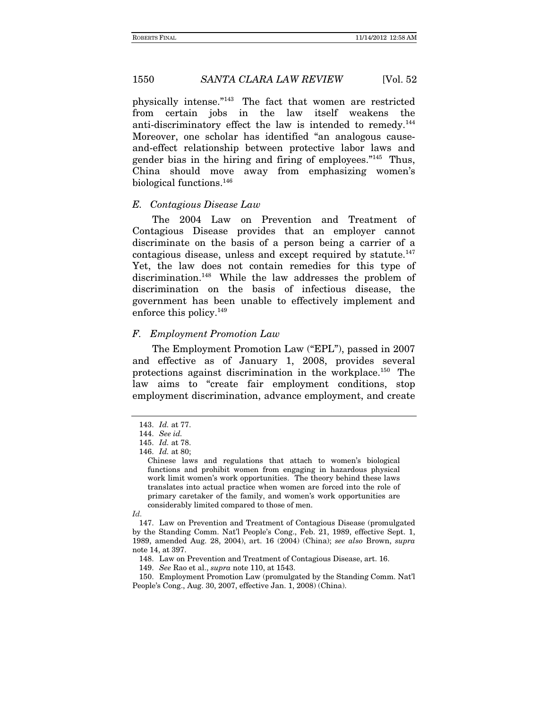physically intense."143 The fact that women are restricted from certain jobs in the law itself weakens the anti-discriminatory effect the law is intended to remedy.144 Moreover, one scholar has identified "an analogous causeand-effect relationship between protective labor laws and gender bias in the hiring and firing of employees."145 Thus, China should move away from emphasizing women's biological functions.146

### *E. Contagious Disease Law*

The 2004 Law on Prevention and Treatment of Contagious Disease provides that an employer cannot discriminate on the basis of a person being a carrier of a contagious disease, unless and except required by statute.<sup>147</sup> Yet, the law does not contain remedies for this type of discrimination.148 While the law addresses the problem of discrimination on the basis of infectious disease, the government has been unable to effectively implement and enforce this policy.149

# *F. Employment Promotion Law*

The Employment Promotion Law ("EPL"), passed in 2007 and effective as of January 1, 2008, provides several protections against discrimination in the workplace.150 The law aims to "create fair employment conditions, stop employment discrimination, advance employment, and create

 <sup>143.</sup> *Id.* at 77.

<sup>144.</sup> *See id.*

 <sup>145.</sup> *Id.* at 78.

 <sup>146.</sup> *Id.* at 80;

Chinese laws and regulations that attach to women's biological functions and prohibit women from engaging in hazardous physical work limit women's work opportunities. The theory behind these laws translates into actual practice when women are forced into the role of primary caretaker of the family, and women's work opportunities are considerably limited compared to those of men.

*Id.*

 <sup>147.</sup> Law on Prevention and Treatment of Contagious Disease (promulgated by the Standing Comm. Nat'l People's Cong., Feb. 21, 1989, effective Sept. 1, 1989, amended Aug. 28, 2004), art. 16 (2004) (China); *see also* Brown, *supra* note 14, at 397.

 <sup>148.</sup> Law on Prevention and Treatment of Contagious Disease, art. 16.

<sup>149.</sup> *See* Rao et al., *supra* note 110, at 1543.

 <sup>150.</sup> Employment Promotion Law (promulgated by the Standing Comm. Nat'l People's Cong., Aug. 30, 2007, effective Jan. 1, 2008) (China).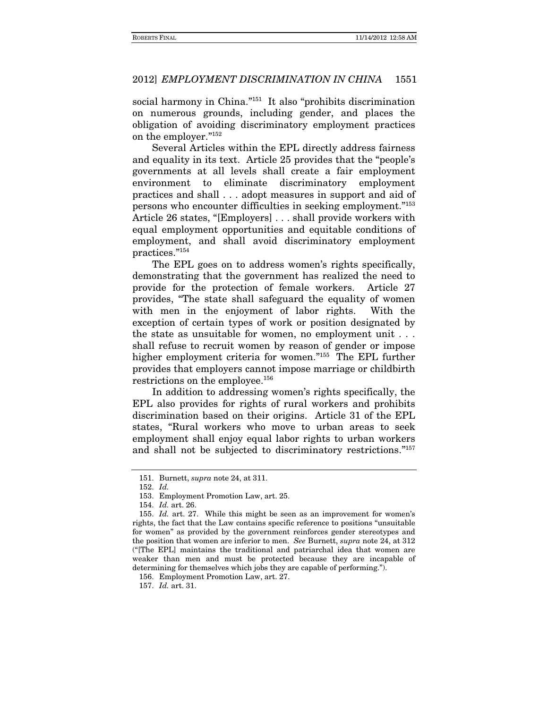social harmony in China."<sup>151</sup> It also "prohibits discrimination on numerous grounds, including gender, and places the obligation of avoiding discriminatory employment practices on the employer."152

Several Articles within the EPL directly address fairness and equality in its text. Article 25 provides that the "people's governments at all levels shall create a fair employment environment to eliminate discriminatory employment practices and shall . . . adopt measures in support and aid of persons who encounter difficulties in seeking employment."153 Article 26 states, "[Employers] . . . shall provide workers with equal employment opportunities and equitable conditions of employment, and shall avoid discriminatory employment practices."154

The EPL goes on to address women's rights specifically, demonstrating that the government has realized the need to provide for the protection of female workers. Article 27 provides, "The state shall safeguard the equality of women with men in the enjoyment of labor rights. With the exception of certain types of work or position designated by the state as unsuitable for women, no employment unit . . . shall refuse to recruit women by reason of gender or impose higher employment criteria for women."155 The EPL further provides that employers cannot impose marriage or childbirth restrictions on the employee.156

In addition to addressing women's rights specifically, the EPL also provides for rights of rural workers and prohibits discrimination based on their origins. Article 31 of the EPL states, "Rural workers who move to urban areas to seek employment shall enjoy equal labor rights to urban workers and shall not be subjected to discriminatory restrictions."157

 <sup>151.</sup> Burnett, *supra* note 24, at 311.

 <sup>152.</sup> *Id.*

 <sup>153.</sup> Employment Promotion Law, art. 25.

 <sup>154.</sup> *Id.* art. 26.

 <sup>155.</sup> *Id.* art. 27. While this might be seen as an improvement for women's rights, the fact that the Law contains specific reference to positions "unsuitable for women" as provided by the government reinforces gender stereotypes and the position that women are inferior to men. *See* Burnett, *supra* note 24, at 312 ("[The EPL] maintains the traditional and patriarchal idea that women are weaker than men and must be protected because they are incapable of determining for themselves which jobs they are capable of performing.").

 <sup>156.</sup> Employment Promotion Law, art. 27.

 <sup>157.</sup> *Id.* art. 31.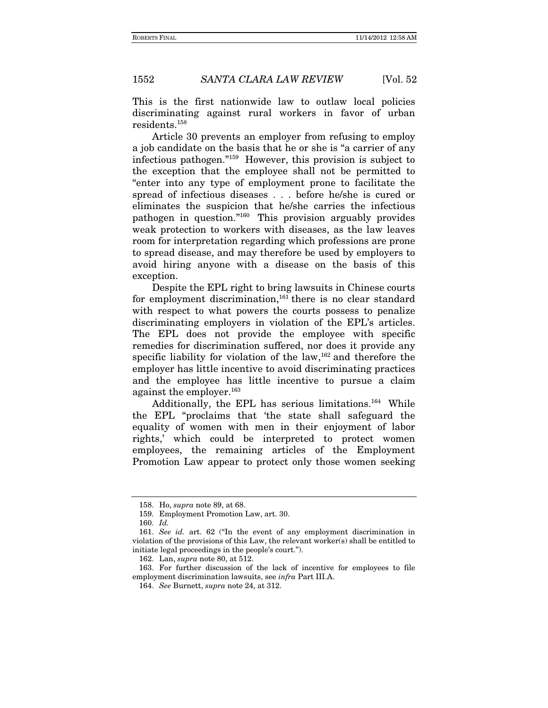This is the first nationwide law to outlaw local policies discriminating against rural workers in favor of urban residents.158

Article 30 prevents an employer from refusing to employ a job candidate on the basis that he or she is "a carrier of any infectious pathogen."159 However, this provision is subject to the exception that the employee shall not be permitted to "enter into any type of employment prone to facilitate the spread of infectious diseases . . . before he/she is cured or eliminates the suspicion that he/she carries the infectious pathogen in question."160 This provision arguably provides weak protection to workers with diseases, as the law leaves room for interpretation regarding which professions are prone to spread disease, and may therefore be used by employers to avoid hiring anyone with a disease on the basis of this exception.

Despite the EPL right to bring lawsuits in Chinese courts for employment discrimination,<sup>161</sup> there is no clear standard with respect to what powers the courts possess to penalize discriminating employers in violation of the EPL's articles. The EPL does not provide the employee with specific remedies for discrimination suffered, nor does it provide any specific liability for violation of the  $law<sub>162</sub>$  and therefore the employer has little incentive to avoid discriminating practices and the employee has little incentive to pursue a claim against the employer.<sup>163</sup>

Additionally, the EPL has serious limitations.164 While the EPL "proclaims that 'the state shall safeguard the equality of women with men in their enjoyment of labor rights,' which could be interpreted to protect women employees, the remaining articles of the Employment Promotion Law appear to protect only those women seeking

 <sup>158.</sup> Ho, *supra* note 89, at 68.

 <sup>159.</sup> Employment Promotion Law, art. 30.

 <sup>160.</sup> *Id.*

<sup>161.</sup> *See id.* art. 62 ("In the event of any employment discrimination in violation of the provisions of this Law, the relevant worker(s) shall be entitled to initiate legal proceedings in the people's court.").

 <sup>162.</sup> Lan, *supra* note 80, at 512.

 <sup>163.</sup> For further discussion of the lack of incentive for employees to file employment discrimination lawsuits, see *infra* Part III.A.

<sup>164.</sup> *See* Burnett, *supra* note 24, at 312.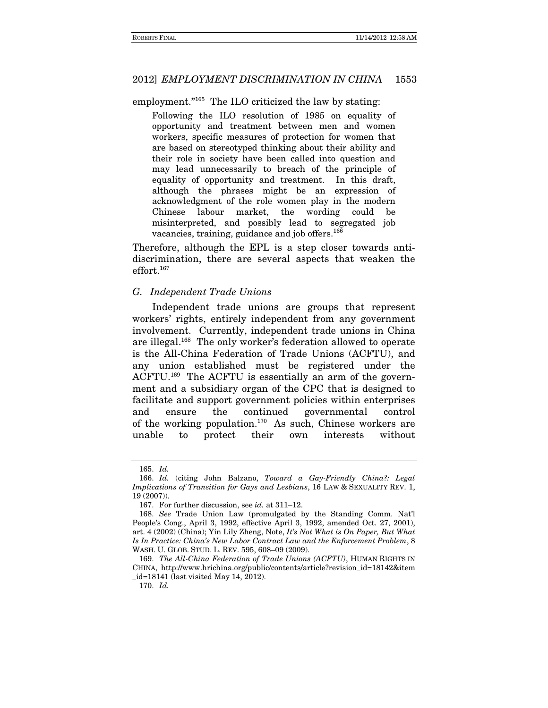employment."<sup>165</sup> The ILO criticized the law by stating:

Following the ILO resolution of 1985 on equality of opportunity and treatment between men and women workers, specific measures of protection for women that are based on stereotyped thinking about their ability and their role in society have been called into question and may lead unnecessarily to breach of the principle of equality of opportunity and treatment. In this draft, although the phrases might be an expression of acknowledgment of the role women play in the modern Chinese labour market, the wording could be misinterpreted, and possibly lead to segregated job vacancies, training, guidance and job offers.<sup>166</sup>

Therefore, although the EPL is a step closer towards antidiscrimination, there are several aspects that weaken the effort.167

#### *G. Independent Trade Unions*

Independent trade unions are groups that represent workers' rights, entirely independent from any government involvement. Currently, independent trade unions in China are illegal.168 The only worker's federation allowed to operate is the All-China Federation of Trade Unions (ACFTU), and any union established must be registered under the ACFTU.169 The ACFTU is essentially an arm of the government and a subsidiary organ of the CPC that is designed to facilitate and support government policies within enterprises and ensure the continued governmental control of the working population.<sup>170</sup> As such, Chinese workers are unable to protect their own interests without

 <sup>165.</sup> *Id.*

 <sup>166.</sup> *Id.* (citing John Balzano, *Toward a Gay-Friendly China?: Legal Implications of Transition for Gays and Lesbians*, 16 LAW & SEXUALITY REV. 1, 19 (2007)).

 <sup>167.</sup> For further discussion, see *id.* at 311–12.

<sup>168.</sup> *See* Trade Union Law (promulgated by the Standing Comm. Nat'l People's Cong., April 3, 1992, effective April 3, 1992, amended Oct. 27, 2001), art. 4 (2002) (China); Yin Lily Zheng, Note, *It's Not What is On Paper, But What Is In Practice: China's New Labor Contract Law and the Enforcement Problem*, 8 WASH. U. GLOB. STUD. L. REV. 595, 608–09 (2009).

<sup>169.</sup> *The All-China Federation of Trade Unions (ACFTU)*, HUMAN RIGHTS IN CHINA, http://www.hrichina.org/public/contents/article?revision\_id=18142&item \_id=18141 (last visited May 14, 2012).

<sup>170.</sup> *Id.*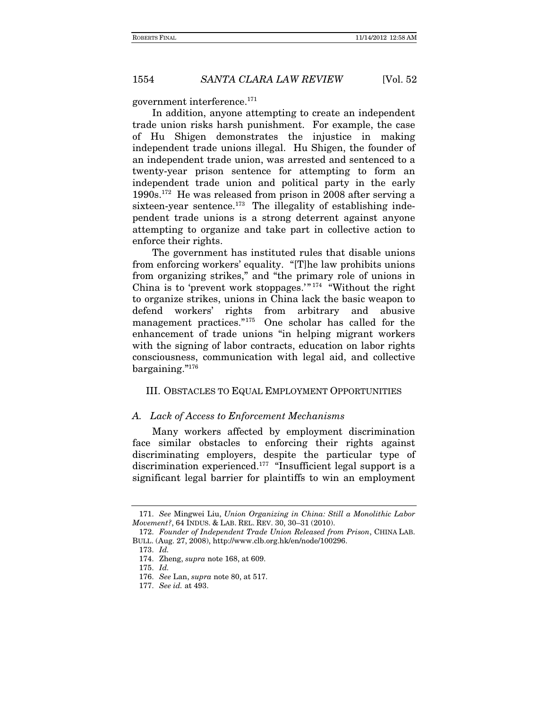government interference.171

In addition, anyone attempting to create an independent trade union risks harsh punishment. For example, the case of Hu Shigen demonstrates the injustice in making independent trade unions illegal. Hu Shigen, the founder of an independent trade union, was arrested and sentenced to a twenty-year prison sentence for attempting to form an independent trade union and political party in the early 1990s.172 He was released from prison in 2008 after serving a sixteen-year sentence. $173$  The illegality of establishing independent trade unions is a strong deterrent against anyone attempting to organize and take part in collective action to enforce their rights.

The government has instituted rules that disable unions from enforcing workers' equality. "[T]he law prohibits unions from organizing strikes," and "the primary role of unions in China is to 'prevent work stoppages.'" 174 "Without the right to organize strikes, unions in China lack the basic weapon to defend workers' rights from arbitrary and abusive management practices."175 One scholar has called for the enhancement of trade unions "in helping migrant workers with the signing of labor contracts, education on labor rights consciousness, communication with legal aid, and collective bargaining."176

#### III. OBSTACLES TO EQUAL EMPLOYMENT OPPORTUNITIES

#### *A. Lack of Access to Enforcement Mechanisms*

Many workers affected by employment discrimination face similar obstacles to enforcing their rights against discriminating employers, despite the particular type of discrimination experienced.<sup>177</sup> "Insufficient legal support is a significant legal barrier for plaintiffs to win an employment

<sup>171.</sup> *See* Mingwei Liu, *Union Organizing in China: Still a Monolithic Labor Movement?*, 64 INDUS. & LAB. REL. REV. 30, 30–31 (2010).

<sup>172.</sup> *Founder of Independent Trade Union Released from Prison*, CHINA LAB. BULL. (Aug. 27, 2008), http://www.clb.org.hk/en/node/100296.

<sup>173.</sup> *Id.*

 <sup>174.</sup> Zheng, *supra* note 168, at 609.

 <sup>175.</sup> *Id.*

<sup>176.</sup> *See* Lan, *supra* note 80, at 517.

<sup>177.</sup> *See id.* at 493.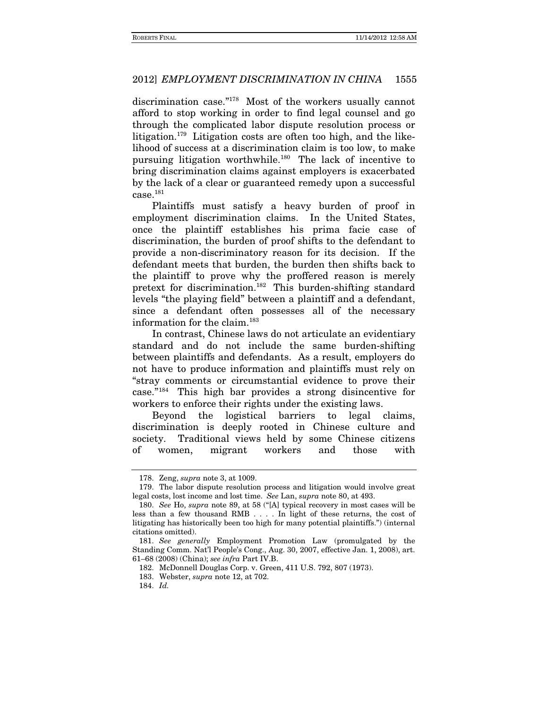discrimination case."178 Most of the workers usually cannot afford to stop working in order to find legal counsel and go through the complicated labor dispute resolution process or litigation.179 Litigation costs are often too high, and the likelihood of success at a discrimination claim is too low, to make pursuing litigation worthwhile.180 The lack of incentive to bring discrimination claims against employers is exacerbated by the lack of a clear or guaranteed remedy upon a successful  $case.<sup>181</sup>$ 

Plaintiffs must satisfy a heavy burden of proof in employment discrimination claims. In the United States, once the plaintiff establishes his prima facie case of discrimination, the burden of proof shifts to the defendant to provide a non-discriminatory reason for its decision. If the defendant meets that burden, the burden then shifts back to the plaintiff to prove why the proffered reason is merely pretext for discrimination.182 This burden-shifting standard levels "the playing field" between a plaintiff and a defendant, since a defendant often possesses all of the necessary information for the claim.<sup>183</sup>

In contrast, Chinese laws do not articulate an evidentiary standard and do not include the same burden-shifting between plaintiffs and defendants. As a result, employers do not have to produce information and plaintiffs must rely on "stray comments or circumstantial evidence to prove their case."184 This high bar provides a strong disincentive for workers to enforce their rights under the existing laws.

Beyond the logistical barriers to legal claims, discrimination is deeply rooted in Chinese culture and society. Traditional views held by some Chinese citizens of women, migrant workers and those with

 <sup>178.</sup> Zeng, *supra* note 3, at 1009.

 <sup>179.</sup> The labor dispute resolution process and litigation would involve great legal costs, lost income and lost time. *See* Lan, *supra* note 80, at 493.

<sup>180.</sup> *See* Ho, *supra* note 89, at 58 ("[A] typical recovery in most cases will be less than a few thousand RMB . . . . In light of these returns, the cost of litigating has historically been too high for many potential plaintiffs.") (internal citations omitted).

<sup>181.</sup> *See generally* Employment Promotion Law (promulgated by the Standing Comm. Nat'l People's Cong., Aug. 30, 2007, effective Jan. 1, 2008), art. 61–68 (2008) (China); *see infra* Part IV.B.

<sup>182.</sup> McDonnell Douglas Corp. v. Green, 411 U.S. 792, 807 (1973).

 <sup>183.</sup> Webster, *supra* note 12, at 702.

 <sup>184.</sup> *Id.*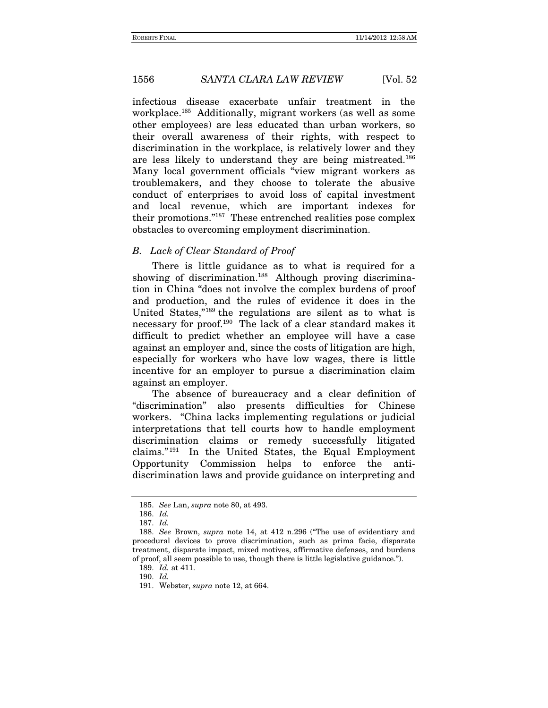infectious disease exacerbate unfair treatment in the workplace.185 Additionally, migrant workers (as well as some other employees) are less educated than urban workers, so their overall awareness of their rights, with respect to discrimination in the workplace, is relatively lower and they are less likely to understand they are being mistreated.186 Many local government officials "view migrant workers as troublemakers, and they choose to tolerate the abusive conduct of enterprises to avoid loss of capital investment and local revenue, which are important indexes for their promotions."187 These entrenched realities pose complex obstacles to overcoming employment discrimination.

# *B. Lack of Clear Standard of Proof*

There is little guidance as to what is required for a showing of discrimination.<sup>188</sup> Although proving discrimination in China "does not involve the complex burdens of proof and production, and the rules of evidence it does in the United States,"189 the regulations are silent as to what is necessary for proof.<sup>190</sup> The lack of a clear standard makes it difficult to predict whether an employee will have a case against an employer and, since the costs of litigation are high, especially for workers who have low wages, there is little incentive for an employer to pursue a discrimination claim against an employer.

The absence of bureaucracy and a clear definition of "discrimination" also presents difficulties for Chinese workers. "China lacks implementing regulations or judicial interpretations that tell courts how to handle employment discrimination claims or remedy successfully litigated claims." 191 In the United States, the Equal Employment Opportunity Commission helps to enforce the antidiscrimination laws and provide guidance on interpreting and

<sup>185.</sup> *See* Lan, *supra* note 80, at 493.

 <sup>186.</sup> *Id.*

 <sup>187.</sup> *Id.*

<sup>188.</sup> *See* Brown, *supra* note 14, at 412 n.296 ("The use of evidentiary and procedural devices to prove discrimination, such as prima facie, disparate treatment, disparate impact, mixed motives, affirmative defenses, and burdens of proof, all seem possible to use, though there is little legislative guidance.").

 <sup>189.</sup> *Id.* at 411.

 <sup>190.</sup> *Id.*

 <sup>191.</sup> Webster, *supra* note 12, at 664.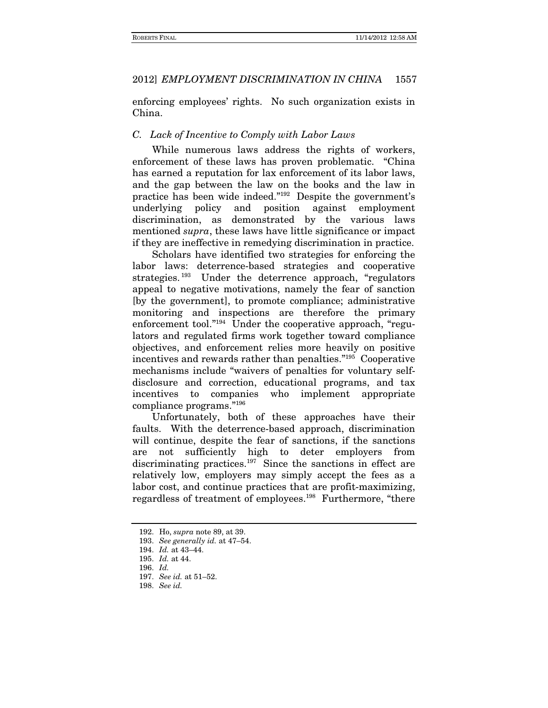enforcing employees' rights. No such organization exists in China.

# *C. Lack of Incentive to Comply with Labor Laws*

While numerous laws address the rights of workers, enforcement of these laws has proven problematic. "China has earned a reputation for lax enforcement of its labor laws, and the gap between the law on the books and the law in practice has been wide indeed."192 Despite the government's underlying policy and position against employment discrimination, as demonstrated by the various laws mentioned *supra*, these laws have little significance or impact if they are ineffective in remedying discrimination in practice.

Scholars have identified two strategies for enforcing the labor laws: deterrence-based strategies and cooperative strategies. 193 Under the deterrence approach, "regulators appeal to negative motivations, namely the fear of sanction [by the government], to promote compliance; administrative monitoring and inspections are therefore the primary enforcement tool."194 Under the cooperative approach, "regulators and regulated firms work together toward compliance objectives, and enforcement relies more heavily on positive incentives and rewards rather than penalties."195 Cooperative mechanisms include "waivers of penalties for voluntary selfdisclosure and correction, educational programs, and tax incentives to companies who implement appropriate compliance programs."196

Unfortunately, both of these approaches have their faults. With the deterrence-based approach, discrimination will continue, despite the fear of sanctions, if the sanctions are not sufficiently high to deter employers from discriminating practices.<sup>197</sup> Since the sanctions in effect are relatively low, employers may simply accept the fees as a labor cost, and continue practices that are profit-maximizing, regardless of treatment of employees.198 Furthermore, "there

 <sup>192.</sup> Ho, *supra* note 89, at 39.

<sup>193.</sup> *See generally id.* at 47–54.

 <sup>194.</sup> *Id.* at 43–44.

 <sup>195.</sup> *Id.* at 44.

 <sup>196.</sup> *Id.*

 <sup>197.</sup> *See id.* at 51–52.

 <sup>198.</sup> *See id.*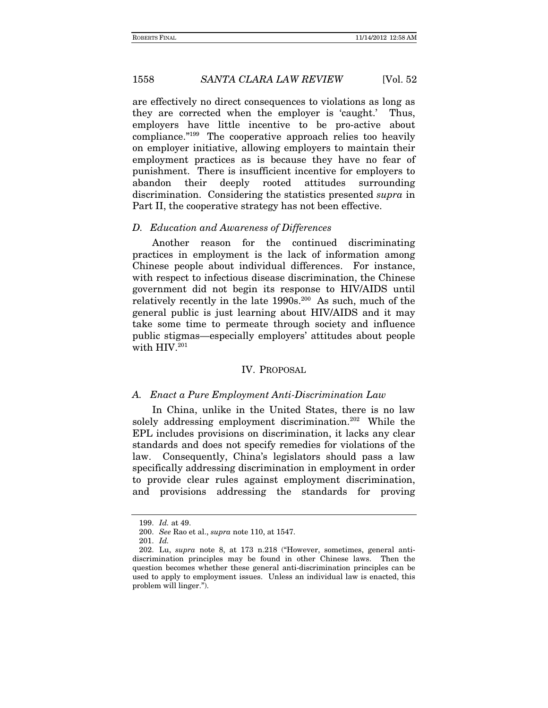are effectively no direct consequences to violations as long as they are corrected when the employer is 'caught.' Thus, employers have little incentive to be pro-active about compliance."199 The cooperative approach relies too heavily on employer initiative, allowing employers to maintain their employment practices as is because they have no fear of punishment. There is insufficient incentive for employers to abandon their deeply rooted attitudes surrounding discrimination. Considering the statistics presented *supra* in Part II, the cooperative strategy has not been effective.

#### *D. Education and Awareness of Differences*

Another reason for the continued discriminating practices in employment is the lack of information among Chinese people about individual differences. For instance, with respect to infectious disease discrimination, the Chinese government did not begin its response to HIV/AIDS until relatively recently in the late  $1990s$ <sup>200</sup> As such, much of the general public is just learning about HIV/AIDS and it may take some time to permeate through society and influence public stigmas—especially employers' attitudes about people with HIV.<sup>201</sup>

#### IV. PROPOSAL

#### *A. Enact a Pure Employment Anti-Discrimination Law*

In China, unlike in the United States, there is no law solely addressing employment discrimination.202 While the EPL includes provisions on discrimination, it lacks any clear standards and does not specify remedies for violations of the law. Consequently, China's legislators should pass a law specifically addressing discrimination in employment in order to provide clear rules against employment discrimination, and provisions addressing the standards for proving

 <sup>199.</sup> *Id.* at 49.

<sup>200.</sup> *See* Rao et al., *supra* note 110, at 1547.

<sup>201.</sup> *Id.*

 <sup>202.</sup> Lu, *supra* note 8, at 173 n.218 ("However, sometimes, general antidiscrimination principles may be found in other Chinese laws. Then the question becomes whether these general anti-discrimination principles can be used to apply to employment issues. Unless an individual law is enacted, this problem will linger.").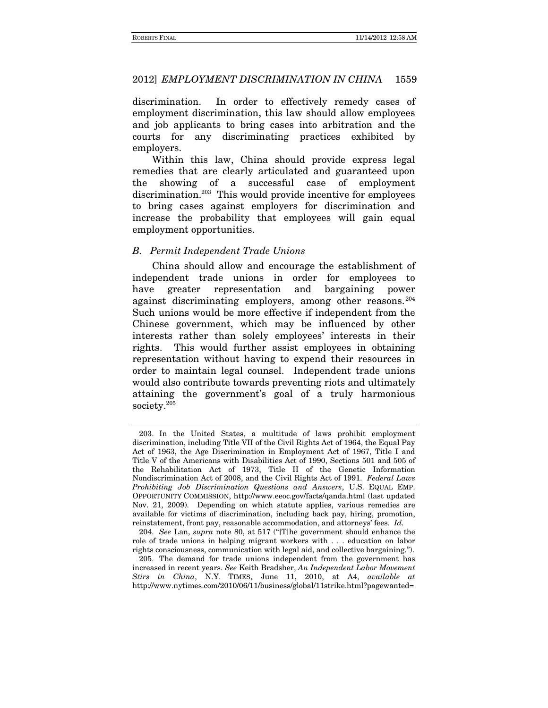discrimination. In order to effectively remedy cases of employment discrimination, this law should allow employees and job applicants to bring cases into arbitration and the courts for any discriminating practices exhibited by employers.

Within this law, China should provide express legal remedies that are clearly articulated and guaranteed upon the showing of a successful case of employment discrimination.<sup>203</sup> This would provide incentive for employees to bring cases against employers for discrimination and increase the probability that employees will gain equal employment opportunities.

### *B. Permit Independent Trade Unions*

China should allow and encourage the establishment of independent trade unions in order for employees to have greater representation and bargaining power against discriminating employers, among other reasons. 204 Such unions would be more effective if independent from the Chinese government, which may be influenced by other interests rather than solely employees' interests in their rights. This would further assist employees in obtaining representation without having to expend their resources in order to maintain legal counsel. Independent trade unions would also contribute towards preventing riots and ultimately attaining the government's goal of a truly harmonious society.205

 <sup>203.</sup> In the United States, a multitude of laws prohibit employment discrimination, including Title VII of the Civil Rights Act of 1964, the Equal Pay Act of 1963, the Age Discrimination in Employment Act of 1967, Title I and Title V of the Americans with Disabilities Act of 1990, Sections 501 and 505 of the Rehabilitation Act of 1973, Title II of the Genetic Information Nondiscrimination Act of 2008, and the Civil Rights Act of 1991. *Federal Laws Prohibiting Job Discrimination Questions and Answers*, U.S. EQUAL EMP. OPPORTUNITY COMMISSION, http://www.eeoc.gov/facts/qanda.html (last updated Nov. 21, 2009). Depending on which statute applies, various remedies are available for victims of discrimination, including back pay, hiring, promotion, reinstatement, front pay, reasonable accommodation, and attorneys' fees. *Id.*

<sup>204.</sup> *See* Lan, *supra* note 80, at 517 ("[T]he government should enhance the role of trade unions in helping migrant workers with . . . education on labor rights consciousness, communication with legal aid, and collective bargaining.").

 <sup>205.</sup> The demand for trade unions independent from the government has increased in recent years. *See* Keith Bradsher, *An Independent Labor Movement Stirs in China*, N.Y. TIMES, June 11, 2010, at A4, *available at* http://www.nytimes.com/2010/06/11/business/global/11strike.html?pagewanted=